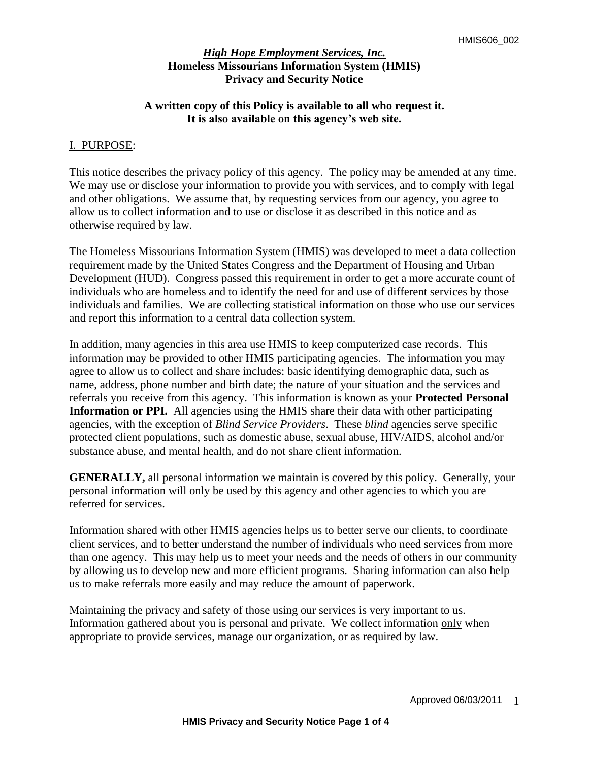## **A written copy of this Policy is available to all who request it. It is also available on this agency's web site.**

## I. PURPOSE:

This notice describes the privacy policy of this agency. The policy may be amended at any time. We may use or disclose your information to provide you with services, and to comply with legal and other obligations. We assume that, by requesting services from our agency, you agree to allow us to collect information and to use or disclose it as described in this notice and as otherwise required by law.

The Homeless Missourians Information System (HMIS) was developed to meet a data collection requirement made by the United States Congress and the Department of Housing and Urban Development (HUD). Congress passed this requirement in order to get a more accurate count of individuals who are homeless and to identify the need for and use of different services by those individuals and families. We are collecting statistical information on those who use our services and report this information to a central data collection system.

In addition, many agencies in this area use HMIS to keep computerized case records. This information may be provided to other HMIS participating agencies. The information you may agree to allow us to collect and share includes: basic identifying demographic data, such as name, address, phone number and birth date; the nature of your situation and the services and referrals you receive from this agency. This information is known as your **Protected Personal Information or PPI.** All agencies using the HMIS share their data with other participating agencies, with the exception of *Blind Service Providers*. These *blind* agencies serve specific protected client populations, such as domestic abuse, sexual abuse, HIV/AIDS, alcohol and/or substance abuse, and mental health, and do not share client information.

**GENERALLY,** all personal information we maintain is covered by this policy. Generally, your personal information will only be used by this agency and other agencies to which you are referred for services.

Information shared with other HMIS agencies helps us to better serve our clients, to coordinate client services, and to better understand the number of individuals who need services from more than one agency. This may help us to meet your needs and the needs of others in our community by allowing us to develop new and more efficient programs. Sharing information can also help us to make referrals more easily and may reduce the amount of paperwork.

Maintaining the privacy and safety of those using our services is very important to us. Information gathered about you is personal and private. We collect information only when appropriate to provide services, manage our organization, or as required by law.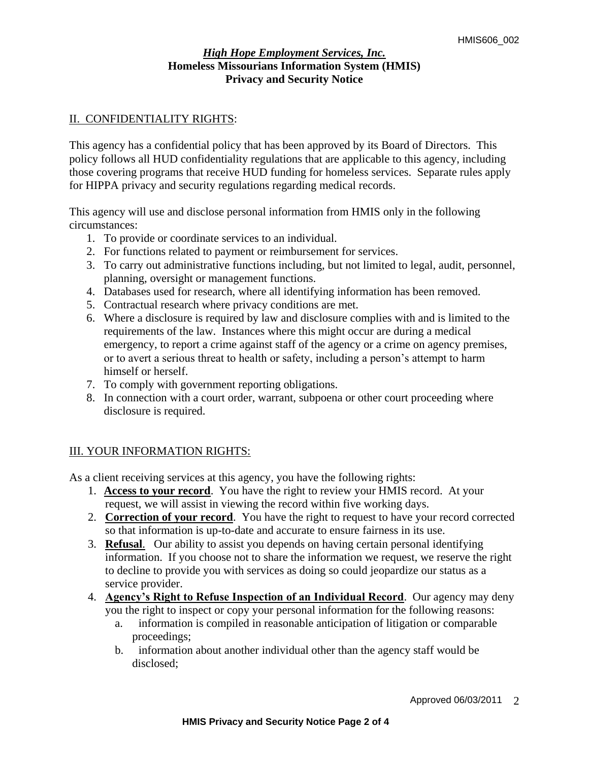# II. CONFIDENTIALITY RIGHTS:

This agency has a confidential policy that has been approved by its Board of Directors. This policy follows all HUD confidentiality regulations that are applicable to this agency, including those covering programs that receive HUD funding for homeless services. Separate rules apply for HIPPA privacy and security regulations regarding medical records.

This agency will use and disclose personal information from HMIS only in the following circumstances:

- 1. To provide or coordinate services to an individual.
- 2. For functions related to payment or reimbursement for services.
- 3. To carry out administrative functions including, but not limited to legal, audit, personnel, planning, oversight or management functions.
- 4. Databases used for research, where all identifying information has been removed.
- 5. Contractual research where privacy conditions are met.
- 6. Where a disclosure is required by law and disclosure complies with and is limited to the requirements of the law. Instances where this might occur are during a medical emergency, to report a crime against staff of the agency or a crime on agency premises, or to avert a serious threat to health or safety, including a person's attempt to harm himself or herself.
- 7. To comply with government reporting obligations.
- 8. In connection with a court order, warrant, subpoena or other court proceeding where disclosure is required.

# III. YOUR INFORMATION RIGHTS:

As a client receiving services at this agency, you have the following rights:

- 1. **Access to your record**. You have the right to review your HMIS record. At your request, we will assist in viewing the record within five working days.
- 2. **Correction of your record**. You have the right to request to have your record corrected so that information is up-to-date and accurate to ensure fairness in its use.
- 3. **Refusal**. Our ability to assist you depends on having certain personal identifying information. If you choose not to share the information we request, we reserve the right to decline to provide you with services as doing so could jeopardize our status as a service provider.
- 4. **Agency's Right to Refuse Inspection of an Individual Record**. Our agency may deny you the right to inspect or copy your personal information for the following reasons:
	- a. information is compiled in reasonable anticipation of litigation or comparable proceedings;
	- b. information about another individual other than the agency staff would be disclosed;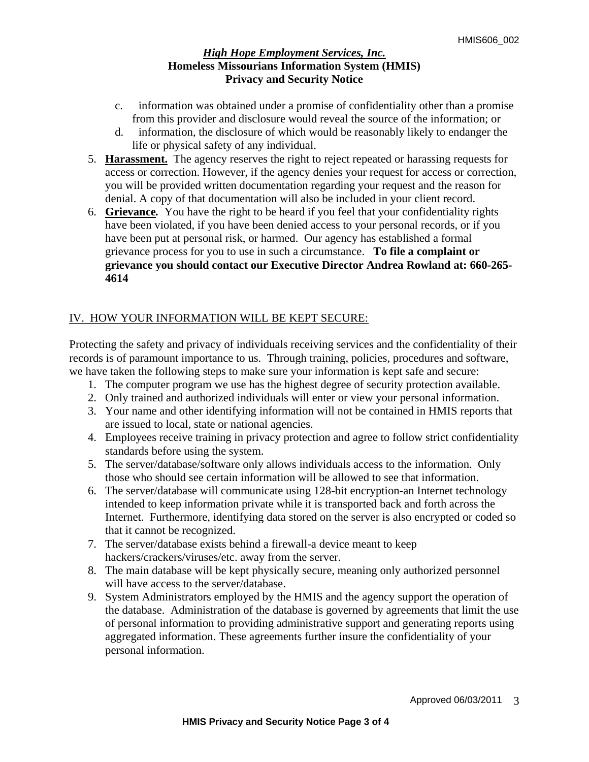- c. information was obtained under a promise of confidentiality other than a promise from this provider and disclosure would reveal the source of the information; or
- d. information, the disclosure of which would be reasonably likely to endanger the life or physical safety of any individual.
- 5. **Harassment.**The agency reserves the right to reject repeated or harassing requests for access or correction. However, if the agency denies your request for access or correction, you will be provided written documentation regarding your request and the reason for denial. A copy of that documentation will also be included in your client record.
- 6. **Grievance***.* You have the right to be heard if you feel that your confidentiality rights have been violated, if you have been denied access to your personal records, or if you have been put at personal risk, or harmed. Our agency has established a formal grievance process for you to use in such a circumstance.**To file a complaint or grievance you should contact our Executive Director Andrea Rowland at: 660-265- 4614**

# IV. HOW YOUR INFORMATION WILL BE KEPT SECURE:

Protecting the safety and privacy of individuals receiving services and the confidentiality of their records is of paramount importance to us. Through training, policies, procedures and software, we have taken the following steps to make sure your information is kept safe and secure:

- 1. The computer program we use has the highest degree of security protection available.
- 2. Only trained and authorized individuals will enter or view your personal information.
- 3. Your name and other identifying information will not be contained in HMIS reports that are issued to local, state or national agencies.
- 4. Employees receive training in privacy protection and agree to follow strict confidentiality standards before using the system.
- 5. The server/database/software only allows individuals access to the information. Only those who should see certain information will be allowed to see that information.
- 6. The server/database will communicate using 128-bit encryption-an Internet technology intended to keep information private while it is transported back and forth across the Internet. Furthermore, identifying data stored on the server is also encrypted or coded so that it cannot be recognized.
- 7. The server/database exists behind a firewall-a device meant to keep hackers/crackers/viruses/etc. away from the server.
- 8. The main database will be kept physically secure, meaning only authorized personnel will have access to the server/database.
- 9. System Administrators employed by the HMIS and the agency support the operation of the database. Administration of the database is governed by agreements that limit the use of personal information to providing administrative support and generating reports using aggregated information. These agreements further insure the confidentiality of your personal information.